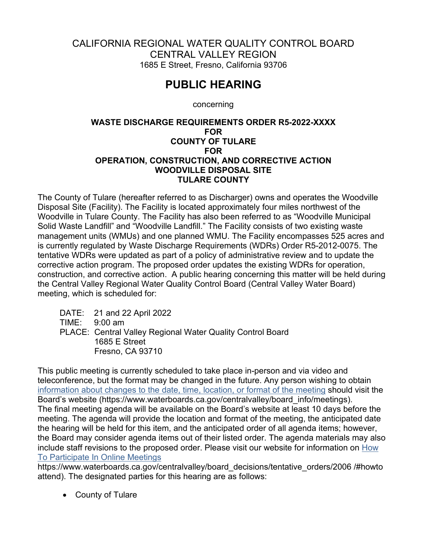## CALIFORNIA REGIONAL WATER QUALITY CONTROL BOARD CENTRAL VALLEY REGION 1685 E Street, Fresno, California 93706

## **PUBLIC HEARING**

concerning

## **WASTE DISCHARGE REQUIREMENTS ORDER R5-2022-XXXX FOR COUNTY OF TULARE FOR OPERATION, CONSTRUCTION, AND CORRECTIVE ACTION WOODVILLE DISPOSAL SITE TULARE COUNTY**

The County of Tulare (hereafter referred to as Discharger) owns and operates the Woodville Disposal Site (Facility). The Facility is located approximately four miles northwest of the Woodville in Tulare County. The Facility has also been referred to as "Woodville Municipal Solid Waste Landfill" and "Woodville Landfill." The Facility consists of two existing waste management units (WMUs) and one planned WMU. The Facility encompasses 525 acres and is currently regulated by Waste Discharge Requirements (WDRs) Order R5-2012-0075. The tentative WDRs were updated as part of a policy of administrative review and to update the corrective action program. The proposed order updates the existing WDRs for operation, construction, and corrective action. A public hearing concerning this matter will be held during the Central Valley Regional Water Quality Control Board (Central Valley Water Board) meeting, which is scheduled for:

DATE: 21 and 22 April 2022 TIME: 9:00 am PLACE: Central Valley Regional Water Quality Control Board 1685 E Street Fresno, CA 93710

This public meeting is currently scheduled to take place in-person and via video and teleconference, but the format may be changed in the future. Any person wishing to obtain information about changes to the date, time, location, or format of the meeting should visit the Board's website [\(https://www.waterboards.ca.gov/centralvalley/board\\_info/mee](https://www.waterboards.ca.gov/centralvalley/board_info/meetings)tings). The final meeting agenda will be available on the Board's website at least 10 days before the meeting. The agenda will provide the location and format of the meeting, the anticipated date the hearing will be held for this item, and the anticipated order of all agenda items; however, the Board may consider agenda items out of their listed order. The agenda materials may also include staff revisions to the proposed order. Please visit our website for information on [How](https://www.waterboards.ca.gov/centralvalley/board_decisions/tentative_orders/2006 /#howto attend)  [To Participate In Online Meetings](https://www.waterboards.ca.gov/centralvalley/board_decisions/tentative_orders/2006 /#howto attend)

https://www.waterboards.ca.gov/centralvalley/board decisions/tentative orders/2006 /#howto attend). The designated parties for this hearing are as follows:

· County of Tulare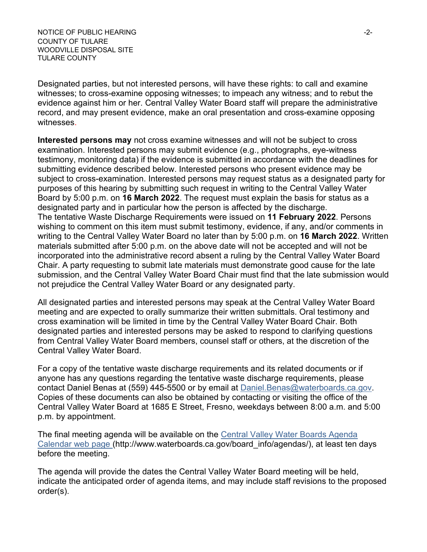NOTICE OF PUBLIC HEARING  $\overline{a}$ -2-COUNTY OF TULARE WOODVILLE DISPOSAL SITE TULARE COUNTY

Designated parties, but not interested persons, will have these rights: to call and examine witnesses; to cross-examine opposing witnesses; to impeach any witness; and to rebut the evidence against him or her. Central Valley Water Board staff will prepare the administrative record, and may present evidence, make an oral presentation and cross-examine opposing witnesses.

**Interested persons may** not cross examine witnesses and will not be subject to cross examination. Interested persons may submit evidence (e.g., photographs, eye-witness testimony, monitoring data) if the evidence is submitted in accordance with the deadlines for submitting evidence described below. Interested persons who present evidence may be subject to cross-examination. Interested persons may request status as a designated party for purposes of this hearing by submitting such request in writing to the Central Valley Water Board by 5:00 p.m. on **16 March 2022**. The request must explain the basis for status as a designated party and in particular how the person is affected by the discharge. The tentative Waste Discharge Requirements were issued on **11 February 2022**. Persons wishing to comment on this item must submit testimony, evidence, if any, and/or comments in writing to the Central Valley Water Board no later than by 5:00 p.m. on **16 March 2022**. Written materials submitted after 5:00 p.m. on the above date will not be accepted and will not be incorporated into the administrative record absent a ruling by the Central Valley Water Board Chair. A party requesting to submit late materials must demonstrate good cause for the late submission, and the Central Valley Water Board Chair must find that the late submission would not prejudice the Central Valley Water Board or any designated party.

All designated parties and interested persons may speak at the Central Valley Water Board meeting and are expected to orally summarize their written submittals. Oral testimony and cross examination will be limited in time by the Central Valley Water Board Chair. Both designated parties and interested persons may be asked to respond to clarifying questions from Central Valley Water Board members, counsel staff or others, at the discretion of the Central Valley Water Board.

For a copy of the tentative waste discharge requirements and its related documents or if anyone has any questions regarding the tentative waste discharge requirements, please contact Daniel Benas at (559) 445-5500 or by email at [Daniel.Benas@waterboards.ca.gov](mailto:Daniel.Benas@waterboards.ca.gov). Copies of these documents can also be obtained by contacting or visiting the office of the Central Valley Water Board at 1685 E Street, Fresno, weekdays between 8:00 a.m. and 5:00 p.m. by appointment.

The final meeting agenda will be available on the [Central Valley Water Boards Agenda](http://www.waterboards.ca.gov/board_info/agendas/)  [Calendar web page \(](http://www.waterboards.ca.gov/board_info/agendas/)http://www.waterboards.ca.gov/board\_info/agendas/), at least ten days before the meeting.

The agenda will provide the dates the Central Valley Water Board meeting will be held, indicate the anticipated order of agenda items, and may include staff revisions to the proposed order(s).